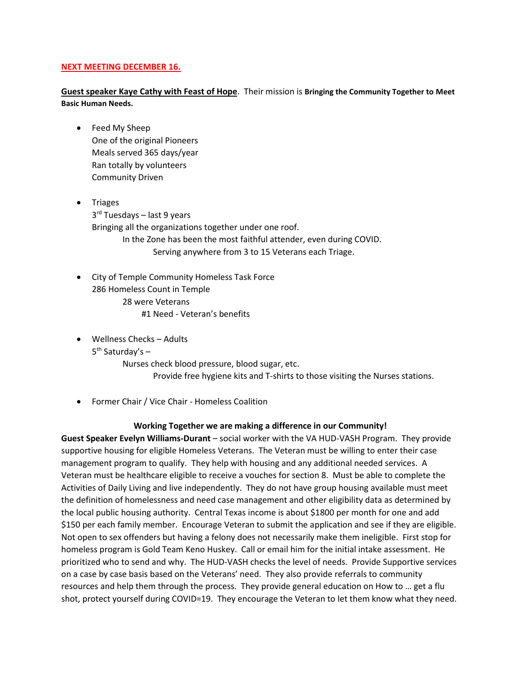#### **NEXT MEETING DECEMBER 16.**

**Guest speaker Kaye Cathy with Feast of Hope**. Their mission is **Bringing the Community Together to Meet Basic Human Needs.**

- Feed My Sheep One of the original Pioneers Meals served 365 days/year Ran totally by volunteers Community Driven
- Triages 3<sup>rd</sup> Tuesdays – last 9 years Bringing all the organizations together under one roof. In the Zone has been the most faithful attender, even during COVID. Serving anywhere from 3 to 15 Veterans each Triage.
	- City of Temple Community Homeless Task Force 286 Homeless Count in Temple 28 were Veterans #1 Need - Veteran's benefits
	- Wellness Checks Adults
- 5<sup>th</sup> Saturday's -

Nurses check blood pressure, blood sugar, etc. Provide free hygiene kits and T-shirts to those visiting the Nurses stations.

Former Chair / Vice Chair - Homeless Coalition

### **Working Together we are making a difference in our Community!**

**Guest Speaker Evelyn Williams-Durant** – social worker with the VA HUD-VASH Program. They provide supportive housing for eligible Homeless Veterans. The Veteran must be willing to enter their case management program to qualify. They help with housing and any additional needed services. A Veteran must be healthcare eligible to receive a vouches for section 8. Must be able to complete the Activities of Daily Living and live independently. They do not have group housing available must meet the definition of homelessness and need case management and other eligibility data as determined by the local public housing authority. Central Texas income is about \$1800 per month for one and add \$150 per each family member. Encourage Veteran to submit the application and see if they are eligible. Not open to sex offenders but having a felony does not necessarily make them ineligible. First stop for homeless program is Gold Team Keno Huskey. Call or email him for the initial intake assessment. He prioritized who to send and why. The HUD-VASH checks the level of needs. Provide Supportive services on a case by case basis based on the Veterans' need. They also provide referrals to community resources and help them through the process. They provide general education on How to … get a flu shot, protect yourself during COVID=19. They encourage the Veteran to let them know what they need.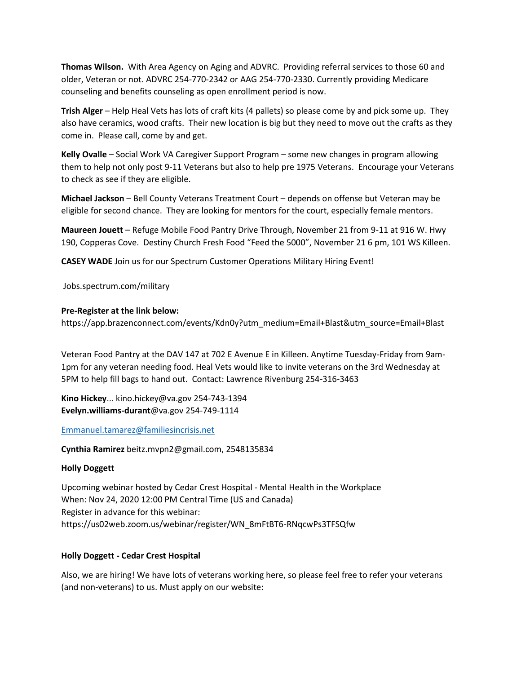**Thomas Wilson.** With Area Agency on Aging and ADVRC. Providing referral services to those 60 and older, Veteran or not. ADVRC 254-770-2342 or AAG 254-770-2330. Currently providing Medicare counseling and benefits counseling as open enrollment period is now.

**Trish Alger** – Help Heal Vets has lots of craft kits (4 pallets) so please come by and pick some up. They also have ceramics, wood crafts. Their new location is big but they need to move out the crafts as they come in. Please call, come by and get.

**Kelly Ovalle** – Social Work VA Caregiver Support Program – some new changes in program allowing them to help not only post 9-11 Veterans but also to help pre 1975 Veterans. Encourage your Veterans to check as see if they are eligible.

**Michael Jackson** – Bell County Veterans Treatment Court – depends on offense but Veteran may be eligible for second chance. They are looking for mentors for the court, especially female mentors.

**Maureen Jouett** – Refuge Mobile Food Pantry Drive Through, November 21 from 9-11 at 916 W. Hwy 190, Copperas Cove. Destiny Church Fresh Food "Feed the 5000", November 21 6 pm, 101 WS Killeen.

**CASEY WADE** Join us for our Spectrum Customer Operations Military Hiring Event!

Jobs.spectrum.com/military

#### **Pre-Register at the link below:**

https://app.brazenconnect.com/events/Kdn0y?utm\_medium=Email+Blast&utm\_source=Email+Blast

Veteran Food Pantry at the DAV 147 at 702 E Avenue E in Killeen. Anytime Tuesday-Friday from 9am-1pm for any veteran needing food. Heal Vets would like to invite veterans on the 3rd Wednesday at 5PM to help fill bags to hand out. Contact: Lawrence Rivenburg 254-316-3463

**Kino Hickey**... kino.hickey@va.gov 254-743-1394 **Evelyn.williams-durant**@va.gov 254-749-1114

[Emmanuel.tamarez@familiesincrisis.net](mailto:Emmanuel.tamarez@familiesincrisis.net)

**Cynthia Ramirez** beitz.mvpn2@gmail.com, 2548135834

# **Holly Doggett**

Upcoming webinar hosted by Cedar Crest Hospital - Mental Health in the Workplace When: Nov 24, 2020 12:00 PM Central Time (US and Canada) Register in advance for this webinar: https://us02web.zoom.us/webinar/register/WN\_8mFtBT6-RNqcwPs3TFSQfw

### **Holly Doggett - Cedar Crest Hospital**

Also, we are hiring! We have lots of veterans working here, so please feel free to refer your veterans (and non-veterans) to us. Must apply on our website: